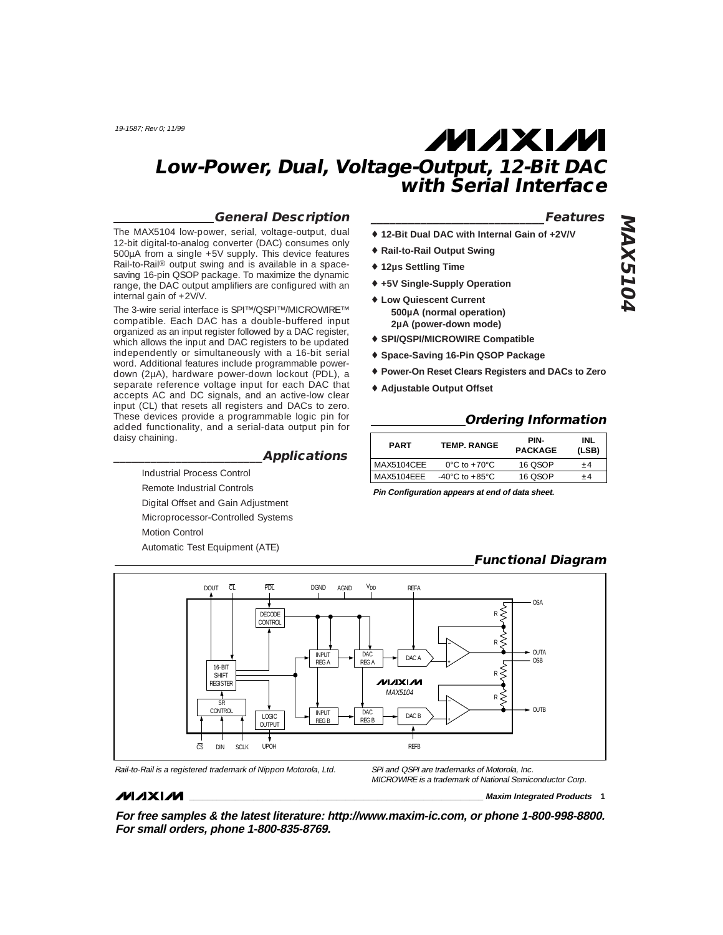## **General Description**

The MAX5104 low-power, serial, voltage-output, dual 12-bit digital-to-analog converter (DAC) consumes only 500µA from a single +5V supply. This device features Rail-to-Rail® output swing and is available in a spacesaving 16-pin QSOP package. To maximize the dynamic range, the DAC output amplifiers are configured with an internal gain of +2V/V.

The 3-wire serial interface is SPI™/QSPI™/MICROWIRE™ compatible. Each DAC has a double-buffered input organized as an input register followed by a DAC register, which allows the input and DAC registers to be updated independently or simultaneously with a 16-bit serial word. Additional features include programmable powerdown (2µA), hardware power-down lockout (PDL), a separate reference voltage input for each DAC that accepts AC and DC signals, and an active-low clear input (CL) that resets all registers and DACs to zero. These devices provide a programmable logic pin for added functionality, and a serial-data output pin for daisy chaining.

# **\_\_\_\_\_\_\_\_\_\_\_\_\_\_\_\_\_\_\_\_\_\_\_\_Applications**

Industrial Process Control Remote Industrial Controls Digital Offset and Gain Adjustment Microprocessor-Controlled Systems Motion Control Automatic Test Equipment (ATE)

# **\_\_\_\_\_\_\_\_\_\_\_\_\_\_\_\_\_\_\_\_\_\_\_\_\_\_\_\_Features**

- ♦ **12-Bit Dual DAC with Internal Gain of +2V/V**
- ♦ **Rail-to-Rail Output Swing**
- ♦ **12µs Settling Time**
- ♦ **+5V Single-Supply Operation**
- ♦ **Low Quiescent Current 500µA (normal operation) 2µA (power-down mode)**
- ♦ **SPI/QSPI/MICROWIRE Compatible**
- ♦ **Space-Saving 16-Pin QSOP Package**
- ♦ **Power-On Reset Clears Registers and DACs to Zero**
- ♦ **Adjustable Output Offset**

#### **Ordering Information**

| <b>PART</b> | <b>TEMP. RANGE</b>                 | PIN-<br><b>PACKAGE</b> | INL<br>(LSB) |
|-------------|------------------------------------|------------------------|--------------|
| MAX5104CEE  | $0^{\circ}$ C to +70 $^{\circ}$ C  | 16 OSOP                | +4           |
| MAX5104FFF  | $-40^{\circ}$ C to $+85^{\circ}$ C | 16 OSOP                | +4           |

**Pin Configuration appears at end of data sheet.**

# **Functional Diagram**



#### **MAXIM**

MICROWIRE is a trademark of National Semiconductor Corp.

**\_\_\_\_\_\_\_\_\_\_\_\_\_\_\_\_\_\_\_\_\_\_\_\_\_\_\_\_\_\_\_\_\_\_\_\_\_\_\_\_\_\_\_\_\_\_\_\_\_\_\_\_\_\_\_\_\_\_\_\_\_\_\_\_ Maxim Integrated Products 1**

**For free samples & the latest literature: http://www.maxim-ic.com, or phone 1-800-998-8800. For small orders, phone 1-800-835-8769.**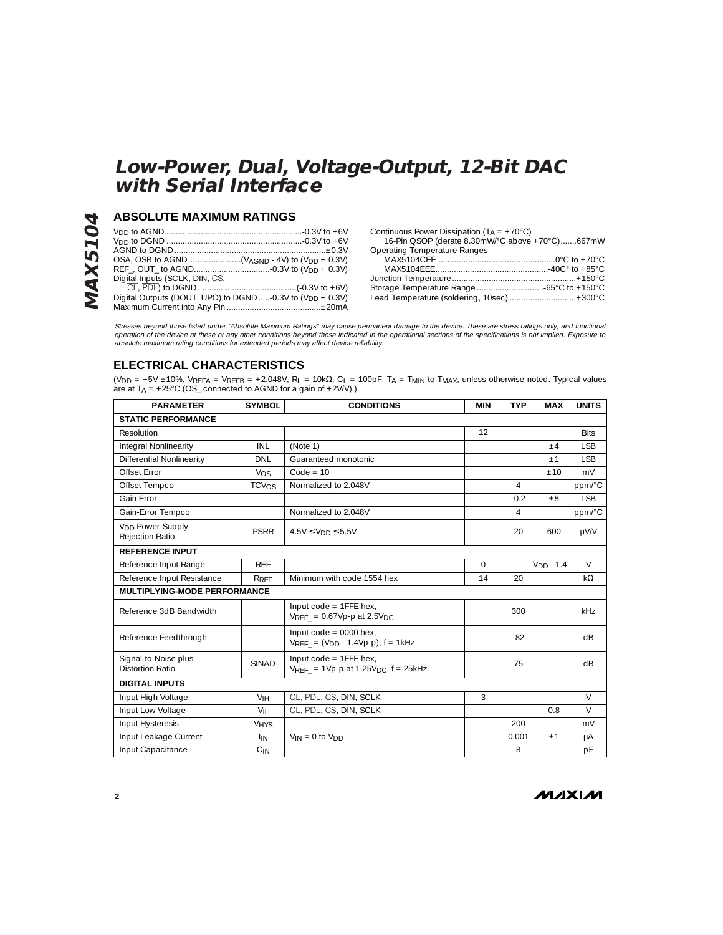# **ABSOLUTE MAXIMUM RATINGS**

**MAX5104**

**MAX5104** 

| Digital Inputs (SCLK, DIN, CS,                                        |
|-----------------------------------------------------------------------|
|                                                                       |
| Digital Outputs (DOUT, UPO) to DGND -0.3V to (V <sub>DD</sub> + 0.3V) |
|                                                                       |

Continuous Power Dissipation (TA = +70°C) 16-Pin QSOP (derate 8.30mW/°C above +70°C).......667mW Operating Temperature Ranges

| Operating Temperature Kanges               |  |
|--------------------------------------------|--|
|                                            |  |
|                                            |  |
|                                            |  |
|                                            |  |
| Lead Temperature (soldering, 10sec) +300°C |  |

Stresses beyond those listed under "Absolute Maximum Ratings" may cause permanent damage to the device. These are stress ratings only, and functional<br>operation of the device at these or any other conditions beyond those in absolute maximum rating conditions for extended periods may affect device reliability.

# **ELECTRICAL CHARACTERISTICS**

(VDD = +5V ±10%, VREFA = VREFB = +2.048V, RL = 10kΩ, CL = 100pF, TA = TMIN to TMAX, unless otherwise noted. Typical values are at  $T_A$  = +25°C (OS\_ connected to AGND for a gain of +2V/V).)

| <b>PARAMETER</b>                                | <b>SYMBOL</b>          | <b>CONDITIONS</b>                                                                   | <b>TYP</b><br><b>MAX</b><br><b>MIN</b> |                | <b>UNITS</b> |            |  |
|-------------------------------------------------|------------------------|-------------------------------------------------------------------------------------|----------------------------------------|----------------|--------------|------------|--|
| <b>STATIC PERFORMANCE</b>                       |                        |                                                                                     |                                        |                |              |            |  |
| Resolution                                      |                        |                                                                                     | 12                                     |                | <b>Bits</b>  |            |  |
| Integral Nonlinearity                           | INL                    | (Note 1)                                                                            |                                        |                | ±4           | <b>LSB</b> |  |
| Differential Nonlinearity                       | <b>DNI</b>             | Guaranteed monotonic                                                                |                                        |                | $+1$         | <b>ISB</b> |  |
| Offset Frror                                    | Vos                    | $Code = 10$                                                                         |                                        |                | ±10          | mV         |  |
| Offset Tempco                                   | TCVOS                  | Normalized to 2.048V                                                                |                                        | $\overline{4}$ |              | ppm/°C     |  |
| Gain Error                                      |                        |                                                                                     |                                        | $-0.2$         | $\pm 8$      | <b>LSB</b> |  |
| Gain-Error Tempco                               |                        | Normalized to 2.048V                                                                |                                        | 4              |              | ppm/°C     |  |
| V <sub>DD</sub> Power-Supply<br>Rejection Ratio | <b>PSRR</b>            | $4.5V \leq VDD \leq 5.5V$                                                           | 20<br>600                              |                | µV/V         |            |  |
| <b>REFERENCE INPUT</b>                          |                        |                                                                                     |                                        |                |              |            |  |
| Reference Input Range                           | <b>RFF</b>             |                                                                                     | $\Omega$                               |                | $VDD - 1.4$  | $\vee$     |  |
| Reference Input Resistance                      | RREF                   | Minimum with code 1554 hex                                                          | 14                                     | 20             |              | $k\Omega$  |  |
| MULTIPLYING-MODE PERFORMANCE                    |                        |                                                                                     |                                        |                |              |            |  |
| Reference 3dB Bandwidth                         |                        | Input $code = 1$ FFE hex,<br>$V_{RFF}$ = 0.67Vp-p at 2.5V <sub>DC</sub>             |                                        | 300            |              | kHz        |  |
| Reference Feedthrough                           |                        | Input $code = 0000$ hex.<br>$V_{REF} = (V_{DD} - 1.4Vp-p)$ , f = 1kHz               |                                        | $-82$          |              | dB         |  |
| Signal-to-Noise plus<br><b>Distortion Ratio</b> | <b>SINAD</b>           | Input $code = 1$ FFE hex,<br>$V_{REF}$ = 1Vp-p at 1.25V <sub>DC</sub> , $f = 25kHz$ |                                        | 75             |              | dB         |  |
| <b>DIGITAL INPUTS</b>                           |                        |                                                                                     |                                        |                |              |            |  |
| Input High Voltage                              | V <sub>IH</sub>        | CL, PDL, CS, DIN, SCLK                                                              | 3                                      |                |              | $\vee$     |  |
| Input Low Voltage                               | $V_{\text{II}}$        | CL, PDL, CS, DIN, SCLK                                                              |                                        |                | 0.8          | $\vee$     |  |
| Input Hysteresis                                | <b>V<sub>HYS</sub></b> |                                                                                     | 200                                    |                | mV           |            |  |
| Input Leakage Current                           | <b>I<sub>IN</sub></b>  | $V_{IN} = 0$ to $V_{DD}$                                                            | 0.001<br>±1                            |                | μA           |            |  |
| Input Capacitance                               | $C_{IN}$               |                                                                                     |                                        | 8              |              | pF         |  |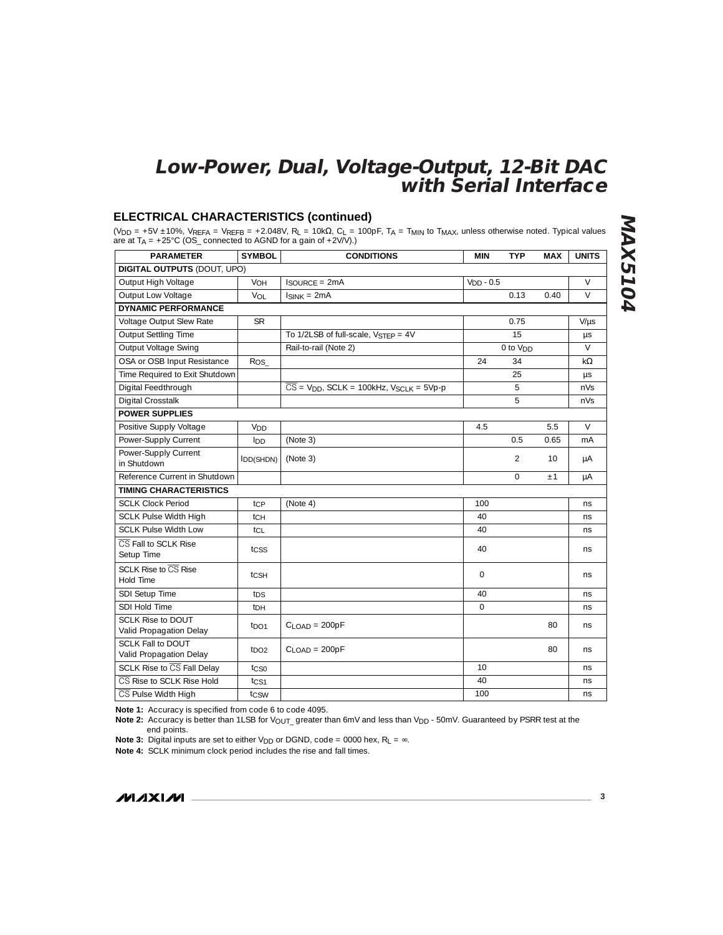# **ELECTRICAL CHARACTERISTICS (continued)**

(V<sub>DD</sub> = +5V ±10%, V<sub>REFA</sub> = V<sub>REFB</sub> = +2.048V, R<sub>L</sub> = 10kΩ, C<sub>L</sub> = 100pF, T<sub>A</sub> = T<sub>MIN</sub> to T<sub>MAX</sub>, unless otherwise noted. Typical values are at TA = +25°C (OS\_ connected to AGND for a gain of +2V/V).)

| <b>PARAMETER</b>                                    | <b>SYMBOL</b>    | <b>CONDITIONS</b>                                                            | MIN         | <b>TYP</b>           | <b>MAX</b> | <b>UNITS</b> |
|-----------------------------------------------------|------------------|------------------------------------------------------------------------------|-------------|----------------------|------------|--------------|
| <b>DIGITAL OUTPUTS (DOUT, UPO)</b>                  |                  |                                                                              |             |                      |            |              |
| Output High Voltage                                 | VOH              | $IsouRCF = 2mA$                                                              | $VDD - 0.5$ |                      |            | $\vee$       |
| Output Low Voltage                                  | VOL              | $IsINK = 2mA$                                                                |             | 0.13                 | 0.40       | $\vee$       |
| <b>DYNAMIC PERFORMANCE</b>                          |                  |                                                                              |             |                      |            |              |
| Voltage Output Slew Rate                            | <b>SR</b>        |                                                                              |             | 0.75                 |            | $V/\mu s$    |
| Output Settling Time                                |                  | To 1/2LSB of full-scale, VSTFP = 4V                                          |             | 15                   |            | μs           |
| Output Voltage Swing                                |                  | Rail-to-rail (Note 2)                                                        |             | 0 to V <sub>DD</sub> |            | $\vee$       |
| OSA or OSB Input Resistance                         | $R_{OS_{-}}$     |                                                                              | 24          | 34                   |            | $k\Omega$    |
| Time Required to Exit Shutdown                      |                  |                                                                              |             | 25                   |            | μs           |
| Digital Feedthrough                                 |                  | $\overline{CS}$ = V <sub>DD</sub> , SCLK = 100kHz, V <sub>SCLK</sub> = 5Vp-p |             | 5                    |            | nVs          |
| <b>Digital Crosstalk</b>                            |                  |                                                                              |             | 5                    |            | nVs          |
| <b>POWER SUPPLIES</b>                               |                  |                                                                              |             |                      |            |              |
| Positive Supply Voltage                             | V <sub>DD</sub>  |                                                                              | 4.5         |                      | 5.5        | $\vee$       |
| Power-Supply Current                                | IDD              | (Note 3)                                                                     |             | 0.5                  | 0.65       | mA           |
| Power-Supply Current                                | $I_{DD(SHDN)}$   | (Note 3)                                                                     |             | 2                    | 10         | μA           |
| in Shutdown                                         |                  |                                                                              |             |                      |            |              |
| Reference Current in Shutdown                       |                  |                                                                              |             | $\circ$              | ±1         | μA           |
| <b>TIMING CHARACTERISTICS</b>                       |                  |                                                                              |             |                      |            |              |
| <b>SCLK Clock Period</b>                            | tcp              | (Note 4)                                                                     | 100         |                      |            | ns           |
| <b>SCLK Pulse Width High</b>                        | tсн              |                                                                              | 40          |                      |            | ns           |
| SCLK Pulse Width Low                                | tcL              |                                                                              | 40          |                      |            | ns           |
| CS Fall to SCLK Rise<br>Setup Time                  | tcss             |                                                                              | 40          |                      |            | ns.          |
| SCLK Rise to CS Rise<br><b>Hold Time</b>            | tcsH             |                                                                              | $\circ$     |                      |            | ns           |
| SDI Setup Time                                      | t <sub>DS</sub>  |                                                                              | 40          |                      |            | ns           |
| SDI Hold Time                                       | tрн              |                                                                              | $\circ$     |                      |            | ns           |
| <b>SCLK Rise to DOUT</b><br>Valid Propagation Delay | t <sub>DO1</sub> | $C$ <sub>LOAD</sub> = 200pF                                                  |             |                      | 80         | ns           |
| SCLK Fall to DOUT<br>Valid Propagation Delay        | tno <sub>2</sub> | $C$ <sub>LOAD</sub> = 200pF                                                  |             |                      | 80         | ns.          |
| SCLK Rise to CS Fall Delay                          | tcso             |                                                                              | 10          |                      |            | ns           |
| CS Rise to SCLK Rise Hold                           | tc <sub>S1</sub> |                                                                              | 40          |                      |            | ns           |
| CS Pulse Width High                                 | tcsw             |                                                                              | 100         |                      |            | ns           |

**Note 1:** Accuracy is specified from code 6 to code 4095.

Note 2: Accuracy is better than 1LSB for V<sub>OUT\_</sub> greater than 6mV and less than V<sub>DD</sub> - 50mV. Guaranteed by PSRR test at the end points.

**Note 3:** Digital inputs are set to either V<sub>DD</sub> or DGND, code = 0000 hex, R<sub>L</sub> = ∞.

**Note 4:** SCLK minimum clock period includes the rise and fall times.

**MAXIM**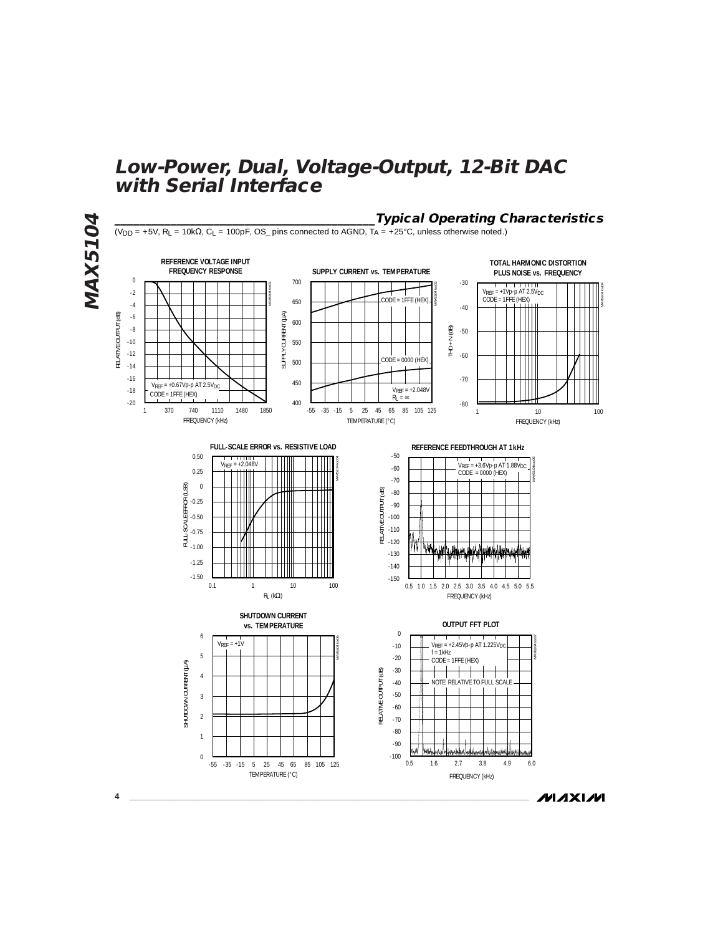

**MAXIM**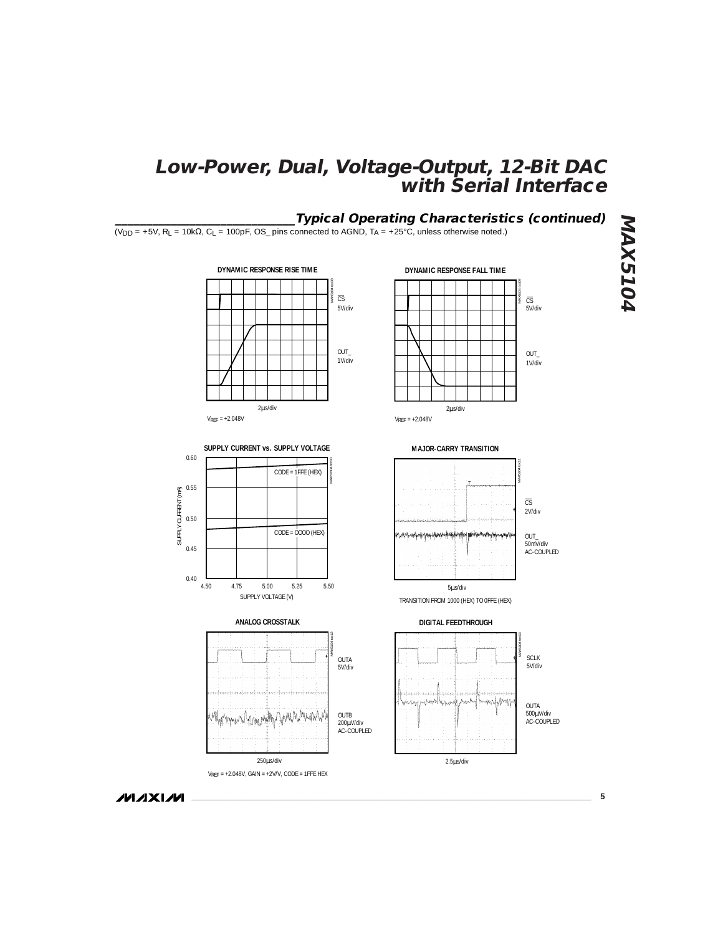# **\_\_\_\_\_\_\_\_\_\_\_\_\_\_\_\_\_\_\_\_\_\_\_\_\_\_\_\_\_Typical Operating Characteristics (continued)**

 $(V_{DD} = +5V$ , R<sub>L</sub> = 10k $\Omega$ , C<sub>L</sub> = 100pF, OS\_ pins connected to AGND, T<sub>A</sub> = +25°C, unless otherwise noted.)









 $V_{REF}$  = +2.048V, GAIN = +2V/V, CODE = 1FFE HEX 250µs/div

OUTB 200µV/div<br>AC-COUPLED

OUTA 5V/div

MAX5104 toc12



**MAJOR-CARRY TRANSITION** MAX5104 toc11 OUT\_ 50mV/div AC-COUPLED 2V/div CS

5µs/div TRANSITION FROM 1000 (HEX) TO 0FFE (HEX)





**MAX5104 MAX5104**

**MAXIM** 

**\_\_\_\_\_\_\_\_\_\_\_\_\_\_\_\_\_\_\_\_\_\_\_\_\_\_\_\_\_\_\_\_\_\_\_\_\_\_\_\_\_\_\_\_\_\_\_\_\_\_\_\_\_\_\_\_\_\_\_\_\_\_\_\_\_\_\_\_\_\_\_\_\_\_\_\_\_\_\_\_\_\_\_\_\_\_\_ 5**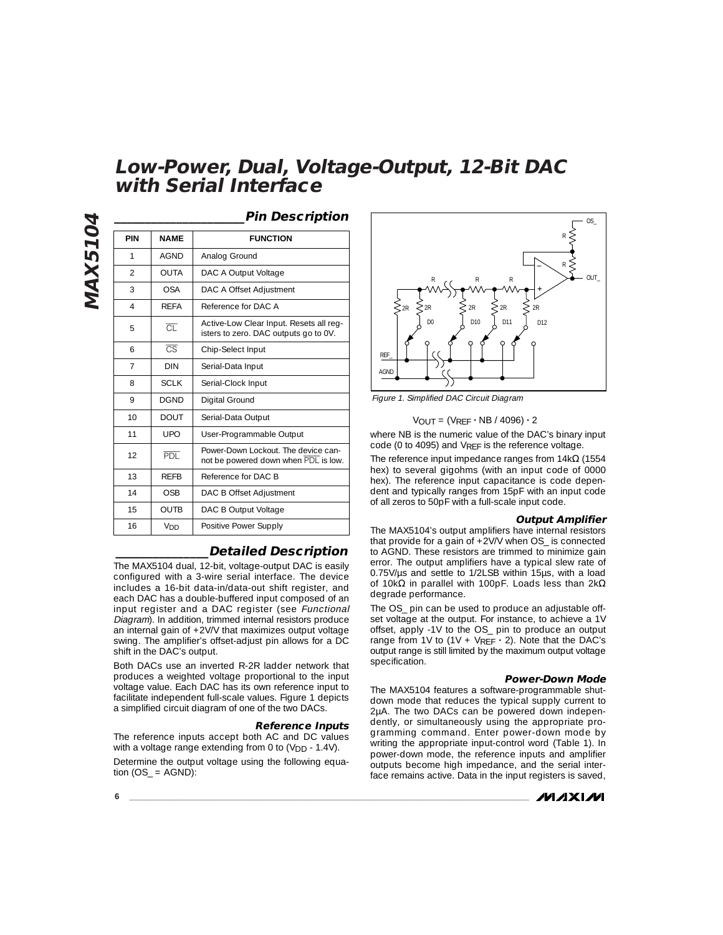|                |                        | <b>Pin Description</b>                                                           |
|----------------|------------------------|----------------------------------------------------------------------------------|
| PIN            | <b>NAME</b>            | <b>FUNCTION</b>                                                                  |
| 1              | <b>AGND</b>            | Analog Ground                                                                    |
| $\mathfrak{D}$ | <b>OUTA</b>            | DAC A Output Voltage                                                             |
| 3              | OSA                    | DAC A Offset Adjustment                                                          |
| 4              | <b>RFFA</b>            | Reference for DAC A                                                              |
| 5              | ਨਾ                     | Active-Low Clear Input. Resets all req-<br>isters to zero. DAC outputs go to 0V. |
| 6              | $\overline{\text{CS}}$ | Chip-Select Input                                                                |
| 7              | <b>DIN</b>             | Serial-Data Input                                                                |
| 8              | <b>SCLK</b>            | Serial-Clock Input                                                               |
| 9              | <b>DGND</b>            | Digital Ground                                                                   |
| 10             | <b>DOUT</b>            | Serial-Data Output                                                               |
| 11             | UPO                    | User-Programmable Output                                                         |
| 12             | <b>PDL</b>             | Power-Down Lockout. The device can-<br>not be powered down when PDL is low.      |
| 13             | <b>RFFB</b>            | Reference for DAC B                                                              |
| 14             | OSB                    | DAC B Offset Adjustment                                                          |
| 15             | <b>OUTB</b>            | DAC B Output Voltage                                                             |
| 16             | Vnn                    | Positive Power Supply                                                            |

## **\_\_\_\_\_\_\_\_\_\_\_\_\_\_\_Detailed Description**

The MAX5104 dual, 12-bit, voltage-output DAC is easily configured with a 3-wire serial interface. The device includes a 16-bit data-in/data-out shift register, and each DAC has a double-buffered input composed of an input register and a DAC register (see Functional Diagram). In addition, trimmed internal resistors produce an internal gain of +2V/V that maximizes output voltage swing. The amplifier's offset-adjust pin allows for a DC shift in the DAC's output.

Both DACs use an inverted R-2R ladder network that produces a weighted voltage proportional to the input voltage value. Each DAC has its own reference input to facilitate independent full-scale values. Figure 1 depicts a simplified circuit diagram of one of the two DACs.

#### **Reference Inputs**

The reference inputs accept both AC and DC values with a voltage range extending from 0 to  $(V_{DD} - 1.4V)$ . Determine the output voltage using the following equation  $(OS_$  = AGND):



Figure 1. Simplified DAC Circuit Diagram

#### VOUT = (VREF **·** NB / 4096) **·** 2

where NB is the numeric value of the DAC's binary input code (0 to 4095) and VREF is the reference voltage.

The reference input impedance ranges from  $14k\Omega$  (1554 hex) to several gigohms (with an input code of 0000 hex). The reference input capacitance is code dependent and typically ranges from 15pF with an input code of all zeros to 50pF with a full-scale input code.

#### **Output Amplifier**

The MAX5104's output amplifiers have internal resistors that provide for a gain of +2V/V when OS\_ is connected to AGND. These resistors are trimmed to minimize gain error. The output amplifiers have a typical slew rate of 0.75V/µs and settle to 1/2LSB within 15µs, with a load of 10kΩ in parallel with 100pF. Loads less than 2kΩ degrade performance.

The OS\_ pin can be used to produce an adjustable offset voltage at the output. For instance, to achieve a 1V offset, apply -1V to the OS\_ pin to produce an output range from 1V to (1V + VREF **·** 2). Note that the DAC's output range is still limited by the maximum output voltage specification.

#### **Power-Down Mode**

The MAX5104 features a software-programmable shutdown mode that reduces the typical supply current to 2µA. The two DACs can be powered down independently, or simultaneously using the appropriate programming command. Enter power-down mode by writing the appropriate input-control word (Table 1). In power-down mode, the reference inputs and amplifier outputs become high impedance, and the serial interface remains active. Data in the input registers is saved,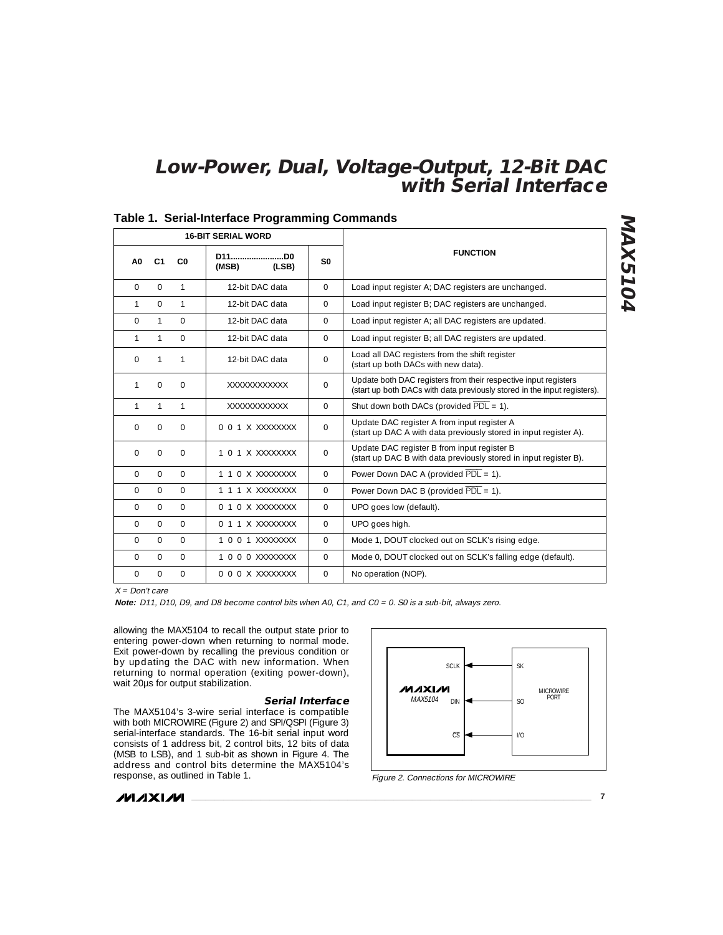| <b>16-BIT SERIAL WORD</b> |                |                |                         |                |                                                                                                                                             |
|---------------------------|----------------|----------------|-------------------------|----------------|---------------------------------------------------------------------------------------------------------------------------------------------|
| A <sub>0</sub>            | C <sub>1</sub> | C <sub>0</sub> | D11D0<br>(MSB)<br>(LSB) | S <sub>0</sub> | <b>FUNCTION</b>                                                                                                                             |
| $\Omega$                  | $\Omega$       | $\mathbf{1}$   | 12-bit DAC data         | $\Omega$       | Load input register A; DAC registers are unchanged.                                                                                         |
| $\mathbf{1}$              | $\Omega$       | 1              | 12-bit DAC data         | $\Omega$       | Load input register B; DAC registers are unchanged.                                                                                         |
| 0                         | $\mathbf{1}$   | $\Omega$       | 12-bit DAC data         | $\Omega$       | Load input register A; all DAC registers are updated.                                                                                       |
| 1                         | 1              | $\Omega$       | 12-bit DAC data         | $\Omega$       | Load input register B; all DAC registers are updated.                                                                                       |
| $\Omega$                  | 1              | 1              | 12-bit DAC data         | $\Omega$       | Load all DAC registers from the shift register<br>(start up both DACs with new data).                                                       |
| $\mathbf{1}$              | $\Omega$       | $\Omega$       | XXXXXXXXXXXX            | $\Omega$       | Update both DAC registers from their respective input registers<br>(start up both DACs with data previously stored in the input registers). |
| 1                         | 1              | $\mathbf{1}$   | XXXXXXXXXXXX            | $\Omega$       | Shut down both DACs (provided $\overline{PDL} = 1$ ).                                                                                       |
| $\Omega$                  | $\Omega$       | $\mathbf 0$    | 0 0 1 X XXXXXXXX        | $\Omega$       | Update DAC register A from input register A<br>(start up DAC A with data previously stored in input register A).                            |
| $\Omega$                  | 0              | $\mathbf 0$    | 1 0 1 X XXXXXXXX        | $\mathbf 0$    | Update DAC register B from input register B<br>(start up DAC B with data previously stored in input register B).                            |
| $\Omega$                  | $\Omega$       | $\Omega$       | 1 1 0 X XXXXXXXX        | $\Omega$       | Power Down DAC A (provided $\overline{PDL} = 1$ ).                                                                                          |
| $\Omega$                  | $\Omega$       | $\Omega$       | 1 1 1 X XXXXXXXX        | $\Omega$       | Power Down DAC B (provided $\overline{PDL} = 1$ ).                                                                                          |
| $\Omega$                  | $\Omega$       | $\Omega$       | 0 1 0 X XXXXXXXX        | $\Omega$       | UPO goes low (default).                                                                                                                     |
| $\Omega$                  | $\Omega$       | $\Omega$       | 0 1 1 X XXXXXXXX        | $\mathbf{0}$   | UPO goes high.                                                                                                                              |
| $\Omega$                  | $\Omega$       | $\Omega$       | 1 0 0 1 XXXXXXXX        | $\Omega$       | Mode 1, DOUT clocked out on SCLK's rising edge.                                                                                             |
| $\Omega$                  | $\Omega$       | $\Omega$       | 1000 XXXXXXXX           | $\Omega$       | Mode 0, DOUT clocked out on SCLK's falling edge (default).                                                                                  |
| 0                         | $\Omega$       | $\Omega$       | 000XXXXXXXXX            | $\Omega$       | No operation (NOP).                                                                                                                         |

## **Table 1. Serial-Interface Programming Commands**

 $X = Don't care$ 

**Note:** D11, D10, D9, and D8 become control bits when A0, C1, and C0 = 0. S0 is a sub-bit, always zero.

allowing the MAX5104 to recall the output state prior to entering power-down when returning to normal mode. Exit power-down by recalling the previous condition or by updating the DAC with new information. When returning to normal operation (exiting power-down), wait 20µs for output stabilization.

#### **Serial Interface**

The MAX5104's 3-wire serial interface is compatible with both MICROWIRE (Figure 2) and SPI/QSPI (Figure 3) serial-interface standards. The 16-bit serial input word consists of 1 address bit, 2 control bits, 12 bits of data (MSB to LSB), and 1 sub-bit as shown in Figure 4. The address and control bits determine the MAX5104's response, as outlined in Table 1.





**MAX5104**

**MAX5104**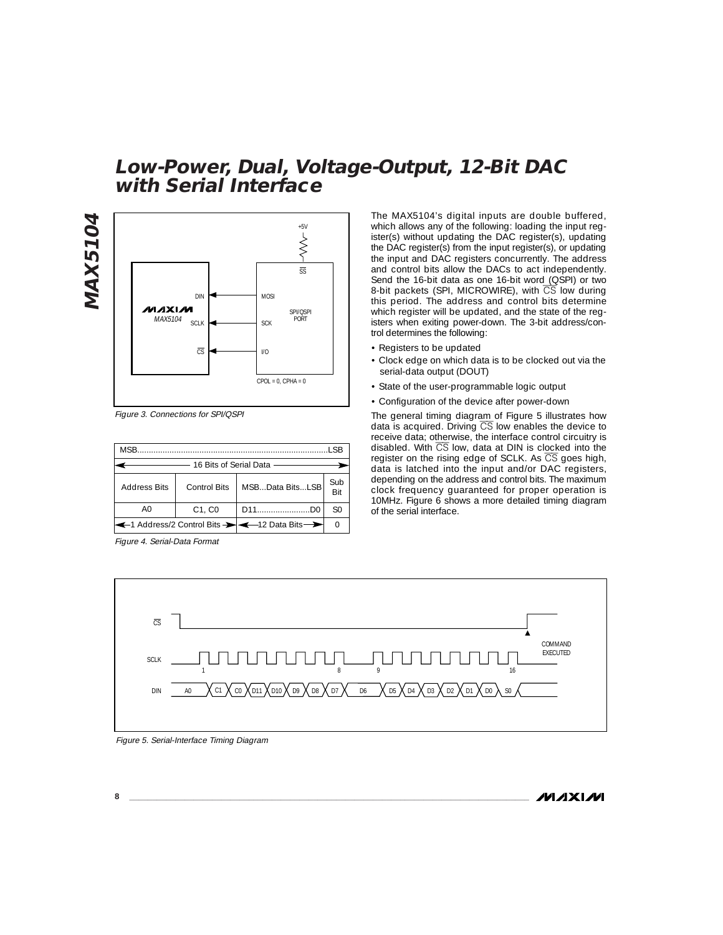# **MAX5104 MAX5104**



**with Serial Interface**

Figure 3. Connections for SPI/QSPI

| <b>MSB</b><br>I CR                            |              |                 |     |  |  |  |
|-----------------------------------------------|--------------|-----------------|-----|--|--|--|
| 16 Bits of Serial Data                        |              |                 |     |  |  |  |
| <b>Address Bits</b>                           | Control Bits | MSBData BitsLSB | Sub |  |  |  |
| AΟ                                            | C1, C0       | D11D0           | S0  |  |  |  |
| ← 1 Address/2 Control Bits → ← 12 Data Bits → |              |                 |     |  |  |  |

Figure 4. Serial-Data Format

The MAX5104's digital inputs are double buffered, which allows any of the following: loading the input register(s) without updating the DAC register(s), updating the DAC register(s) from the input register(s), or updating the input and DAC registers concurrently. The address and control bits allow the DACs to act independently. Send the 16-bit data as one 16-bit word (QSPI) or two 8-bit packets (SPI, MICROWIRE), with  $\overline{\text{CS}}$  low during this period. The address and control bits determine which register will be updated, and the state of the registers when exiting power-down. The 3-bit address/control determines the following:

- Registers to be updated
- Clock edge on which data is to be clocked out via the serial-data output (DOUT)
- State of the user-programmable logic output
- Configuration of the device after power-down

The general timing diagram of Figure 5 illustrates how data is acquired. Driving  $\overline{CS}$  low enables the device to receive data; otherwise, the interface control circuitry is disabled. With CS low, data at DIN is clocked into the register on the rising edge of SCLK. As  $\overline{CS}$  goes high, data is latched into the input and/or DAC registers, depending on the address and control bits. The maximum clock frequency guaranteed for proper operation is 10MHz. Figure 6 shows a more detailed timing diagram of the serial interface.



**Low-Power, Dual, Voltage-Output, 12-Bit DAC**

#### Figure 5. Serial-Interface Timing Diagram

ノハノメレハ

**8 \_\_\_\_\_\_\_\_\_\_\_\_\_\_\_\_\_\_\_\_\_\_\_\_\_\_\_\_\_\_\_\_\_\_\_\_\_\_\_\_\_\_\_\_\_\_\_\_\_\_\_\_\_\_\_\_\_\_\_\_\_\_\_\_\_\_\_\_\_\_\_\_\_\_\_\_\_\_\_\_\_\_\_\_\_\_\_**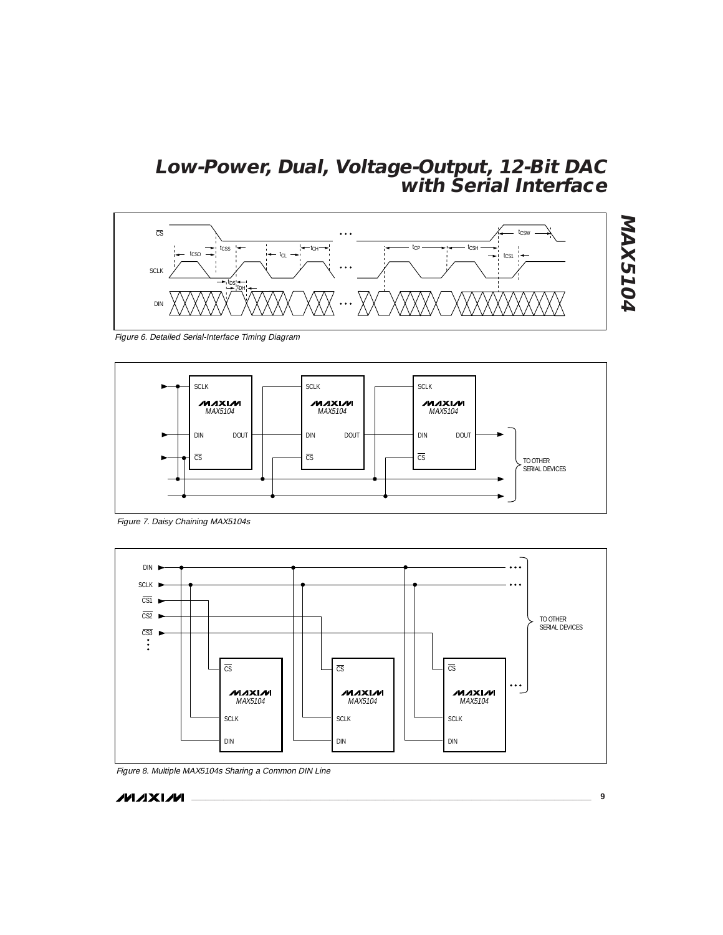

**MAX5104 MAX5104**

Figure 6. Detailed Serial-Interface Timing Diagram



Figure 7. Daisy Chaining MAX5104s



Figure 8. Multiple MAX5104s Sharing a Common DIN Line

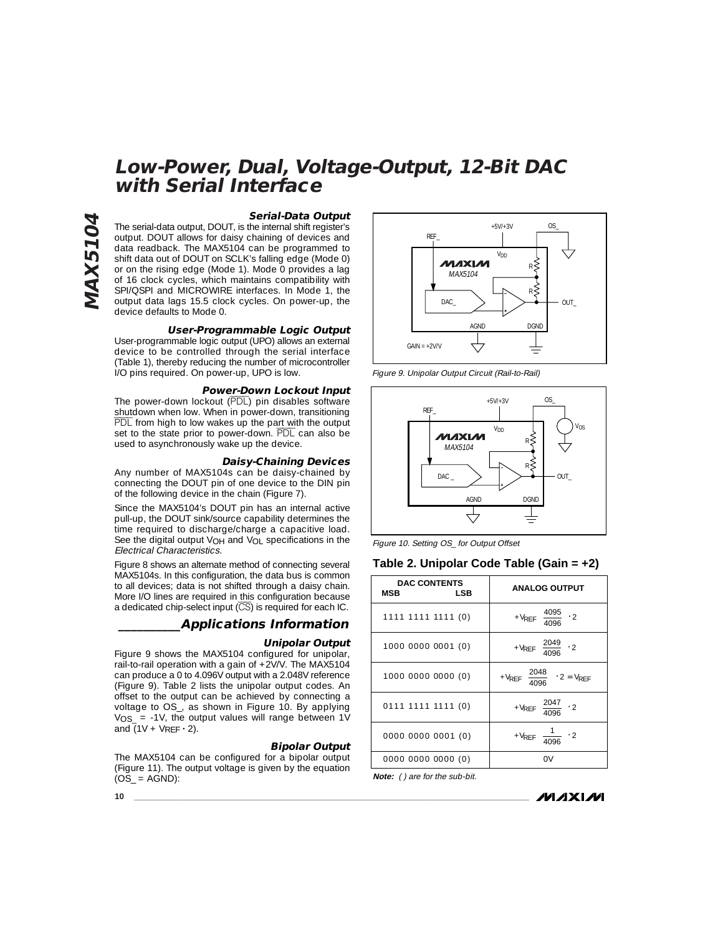# **Serial-Data Output**

**Low-Power, Dual, Voltage-Output, 12-Bit DAC**

The serial-data output, DOUT, is the internal shift register's output. DOUT allows for daisy chaining of devices and data readback. The MAX5104 can be programmed to shift data out of DOUT on SCLK's falling edge (Mode 0) or on the rising edge (Mode 1). Mode 0 provides a lag of 16 clock cycles, which maintains compatibility with SPI/QSPI and MICROWIRE interfaces. In Mode 1, the output data lags 15.5 clock cycles. On power-up, the device defaults to Mode 0.

**with Serial Interface**

## **User-Programmable Logic Output**

User-programmable logic output (UPO) allows an external device to be controlled through the serial interface (Table 1), thereby reducing the number of microcontroller I/O pins required. On power-up, UPO is low.

#### **Power-Down Lockout Input**

The power-down lockout (PDL) pin disables software shutdown when low. When in power-down, transitioning PDL from high to low wakes up the part with the output set to the state prior to power-down. PDL can also be used to asynchronously wake up the device.

#### **Daisy-Chaining Devices**

Any number of MAX5104s can be daisy-chained by connecting the DOUT pin of one device to the DIN pin of the following device in the chain (Figure 7).

Since the MAX5104's DOUT pin has an internal active pull-up, the DOUT sink/source capability determines the time required to discharge/charge a capacitive load. See the digital output  $V_{OH}$  and  $V_{OL}$  specifications in the Electrical Characteristics.

Figure 8 shows an alternate method of connecting several MAX5104s. In this configuration, the data bus is common to all devices; data is not shifted through a daisy chain. More I/O lines are required in this configuration because a dedicated chip-select input (CS) is required for each IC.

## **\_\_\_\_\_\_\_\_\_\_Applications Information**

#### **Unipolar Output**

Figure 9 shows the MAX5104 configured for unipolar, rail-to-rail operation with a gain of +2V/V. The MAX5104 can produce a 0 to 4.096V output with a 2.048V reference (Figure 9). Table 2 lists the unipolar output codes. An offset to the output can be achieved by connecting a voltage to OS\_, as shown in Figure 10. By applying  $V_{OS}$  = -1V, the output values will range between 1V and (1V + VREF **·** 2).

#### **Bipolar Output**

The MAX5104 can be configured for a bipolar output (Figure 11). The output voltage is given by the equation  $(O\bar{S}_$  = AGND):



Figure 9. Unipolar Output Circuit (Rail-to-Rail)



Figure 10. Setting OS\_ for Output Offset

#### **Table 2. Unipolar Code Table (Gain = +2)**

| <b>DAC CONTENTS</b><br><b>MSB</b><br>LSB | <b>ANALOG OUTPUT</b>                                           |
|------------------------------------------|----------------------------------------------------------------|
| 1111 1111 1111 (0)                       | + $V_{REF}$ $\left(\frac{4095}{4096}\right)$ · 2               |
| 1000 0000 0001 (0)                       | + $V_{REF}$ $\left(\frac{2049}{4096}\right)$ · 2               |
| 1000 0000 0000 (0)                       | + $V_{REF}$ $\left(\frac{2048}{4096}\right) \cdot 2 = V_{REF}$ |
| 0111 1111 1111 (0)                       | + $V_{REF}$ $\left(\frac{2047}{4096}\right)$ · 2               |
| 0000 0000 0001 (0)                       | + $V_{REF}\left(\frac{1}{4096}\right) \cdot 2$                 |
| 0000 0000 0000 (0)                       |                                                                |

**Note:** ( ) are for the sub-bit.

ノハノメレハ

**10 \_\_\_\_\_\_\_\_\_\_\_\_\_\_\_\_\_\_\_\_\_\_\_\_\_\_\_\_\_\_\_\_\_\_\_\_\_\_\_\_\_\_\_\_\_\_\_\_\_\_\_\_\_\_\_\_\_\_\_\_\_\_\_\_\_\_\_\_\_\_\_\_\_\_\_\_\_\_\_\_\_\_\_\_\_\_**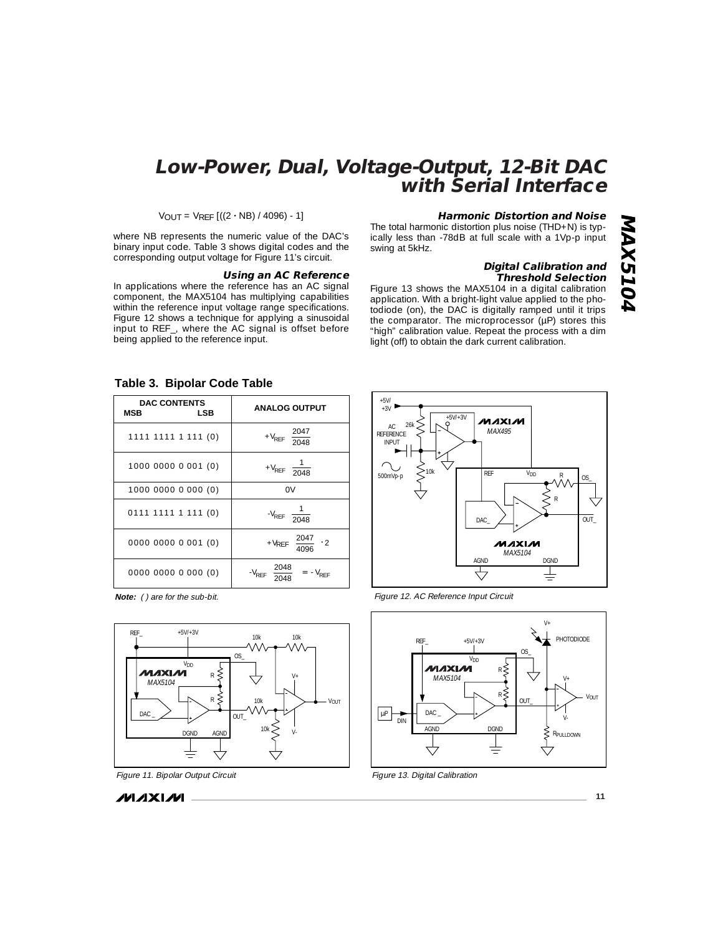VOUT = VREF [((2 **·** NB) / 4096) - 1]

where NB represents the numeric value of the DAC's binary input code. Table 3 shows digital codes and the corresponding output voltage for Figure 11's circuit.

# **Using an AC Reference**

In applications where the reference has an AC signal component, the MAX5104 has multiplying capabilities within the reference input voltage range specifications. Figure 12 shows a technique for applying a sinusoidal input to REF\_, where the AC signal is offset before being applied to the reference input.

## **Harmonic Distortion and Noise**

The total harmonic distortion plus noise (THD+N) is typically less than -78dB at full scale with a 1Vp-p input swing at 5kHz.

## **Digital Calibration and Threshold Selection**

**MAX5104**

**MAX5104** 

Figure 13 shows the MAX5104 in a digital calibration application. With a bright-light value applied to the photodiode (on), the DAC is digitally ramped until it trips the comparator. The microprocessor (µP) stores this "high" calibration value. Repeat the process with a dim light (off) to obtain the dark current calibration.

| rable 3. Bipolar Code Table              |                                                        |  |  |  |  |
|------------------------------------------|--------------------------------------------------------|--|--|--|--|
| <b>DAC CONTENTS</b><br>MSB<br><b>LSB</b> | <b>ANALOG OUTPUT</b>                                   |  |  |  |  |
| 1111 1111 1 111 (0)                      | + $V_{REF}$ $\left(\frac{2047}{2048}\right)$           |  |  |  |  |
| 1000 0000 0 001 (0)                      | $+V_{REF}$ $\left(\frac{1}{2048}\right)$               |  |  |  |  |
| 1000 0000 0 000 (0)                      | 0V                                                     |  |  |  |  |
| $0111$ 1111 1 111 (0)                    | $-V_{REF}$ $\left(\frac{1}{2048}\right)$               |  |  |  |  |
| 0000 0000 0 001 (0)                      | + $V_{REF}$ $\left(\frac{2047}{4096}\right)$ · 2       |  |  |  |  |
| 0000 0000 0 000 (0)                      | $-V_{REF} \left( \frac{2048}{2048} \right) = -V_{REF}$ |  |  |  |  |

#### **Table 3. Bipolar Code Table**

**Note:** ( ) are for the sub-bit.





**MAXIM** 



Figure 12. AC Reference Input Circuit



Figure 13. Digital Calibration